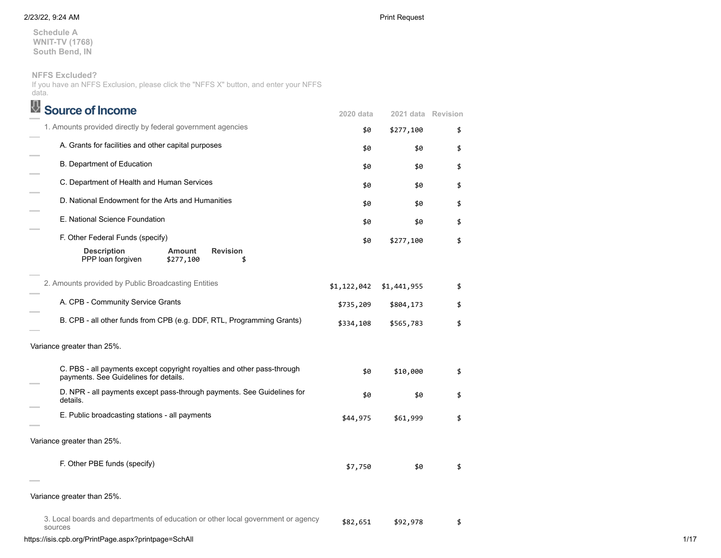**Schedule A WNIT-TV (1768) South Bend, IN**

**NFFS Excluded?**

If you have an NFFS Exclusion, please click the "NFFS X" button, and enter your NFFS data.

| <b>Source of Income</b>                                                                                          | 2020 data   | 2021 data Revision |    |
|------------------------------------------------------------------------------------------------------------------|-------------|--------------------|----|
| 1. Amounts provided directly by federal government agencies                                                      | \$0         | \$277,100          | \$ |
| A. Grants for facilities and other capital purposes                                                              | \$0         | \$0                | \$ |
| B. Department of Education                                                                                       | \$0         | \$0                | \$ |
| C. Department of Health and Human Services                                                                       | \$0         | \$0                | \$ |
| D. National Endowment for the Arts and Humanities                                                                | \$0         | \$0                | \$ |
| E. National Science Foundation                                                                                   | \$0         | \$0                |    |
| F. Other Federal Funds (specify)                                                                                 | \$0         | \$277,100          |    |
| <b>Description</b><br><b>Amount</b><br><b>Revision</b><br>PPP loan forgiven<br>\$277,100<br>\$                   |             |                    |    |
| 2. Amounts provided by Public Broadcasting Entities                                                              | \$1,122,042 | \$1,441,955        |    |
| A. CPB - Community Service Grants                                                                                | \$735,209   | \$804,173          |    |
| B. CPB - all other funds from CPB (e.g. DDF, RTL, Programming Grants)                                            | \$334,108   | \$565,783          |    |
| Variance greater than 25%.                                                                                       |             |                    |    |
| C. PBS - all payments except copyright royalties and other pass-through<br>payments. See Guidelines for details. | \$0         | \$10,000           |    |
| D. NPR - all payments except pass-through payments. See Guidelines for<br>details.                               | \$0         | \$0                |    |
| E. Public broadcasting stations - all payments                                                                   | \$44,975    | \$61,999           |    |
| Variance greater than 25%.                                                                                       |             |                    |    |
| F. Other PBE funds (specify)                                                                                     | \$7,750     | \$0                |    |
| Variance greater than 25%.                                                                                       |             |                    |    |
| 3. Local boards and departments of education or other local government or agency<br>sources                      | \$82,651    | \$92,978           |    |

https://isis.cpb.org/PrintPage.aspx?printpage=SchAll 1/17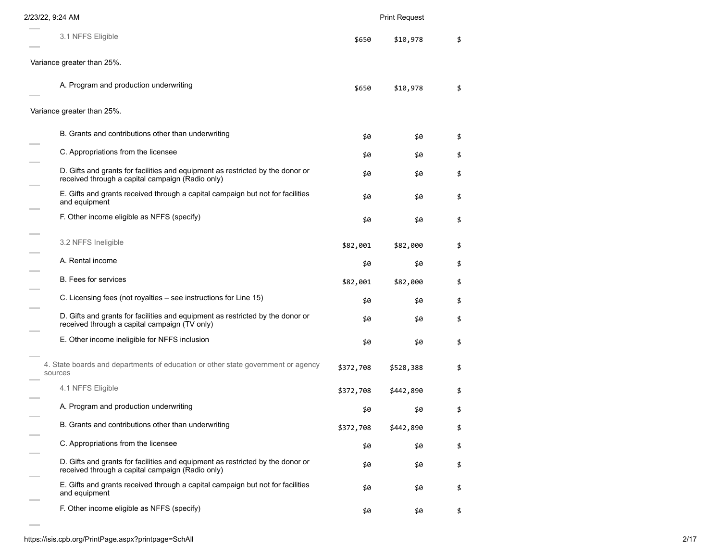| 2/23/22, 9:24 AM                                                                                                                   |           | <b>Print Request</b> |    |
|------------------------------------------------------------------------------------------------------------------------------------|-----------|----------------------|----|
| 3.1 NFFS Eligible                                                                                                                  | \$650     | \$10,978             | \$ |
| Variance greater than 25%.                                                                                                         |           |                      |    |
| A. Program and production underwriting                                                                                             | \$650     | \$10,978             | \$ |
| Variance greater than 25%.                                                                                                         |           |                      |    |
| B. Grants and contributions other than underwriting                                                                                | \$0       | \$0                  | \$ |
| C. Appropriations from the licensee                                                                                                | \$0       | \$0                  | \$ |
| D. Gifts and grants for facilities and equipment as restricted by the donor or<br>received through a capital campaign (Radio only) | \$0       | \$0                  | \$ |
| E. Gifts and grants received through a capital campaign but not for facilities<br>and equipment                                    | \$0       | \$0                  | \$ |
| F. Other income eligible as NFFS (specify)                                                                                         | \$0       | \$0                  | \$ |
| 3.2 NFFS Ineligible                                                                                                                | \$82,001  | \$82,000             | \$ |
| A. Rental income                                                                                                                   | \$0       | \$0                  | \$ |
| B. Fees for services                                                                                                               | \$82,001  | \$82,000             | \$ |
| C. Licensing fees (not royalties – see instructions for Line 15)                                                                   | \$0       | \$0                  | \$ |
| D. Gifts and grants for facilities and equipment as restricted by the donor or<br>received through a capital campaign (TV only)    | \$0       | \$0                  | \$ |
| E. Other income ineligible for NFFS inclusion                                                                                      | \$0       | \$0                  | \$ |
| 4. State boards and departments of education or other state government or agency<br>sources                                        | \$372,708 | \$528,388            | \$ |
| 4.1 NFFS Eligible                                                                                                                  | \$372,708 | \$442,890            | \$ |
| A. Program and production underwriting                                                                                             | \$0       | \$0                  | \$ |
| B. Grants and contributions other than underwriting                                                                                | \$372,708 | \$442,890            | \$ |
| C. Appropriations from the licensee                                                                                                | \$0       | \$0                  | \$ |
| D. Gifts and grants for facilities and equipment as restricted by the donor or<br>received through a capital campaign (Radio only) | \$0       | \$0                  | \$ |
| E. Gifts and grants received through a capital campaign but not for facilities<br>and equipment                                    | \$0       | \$0                  | \$ |
| F. Other income eligible as NFFS (specify)                                                                                         | \$0       | \$0                  | \$ |

 $\sim$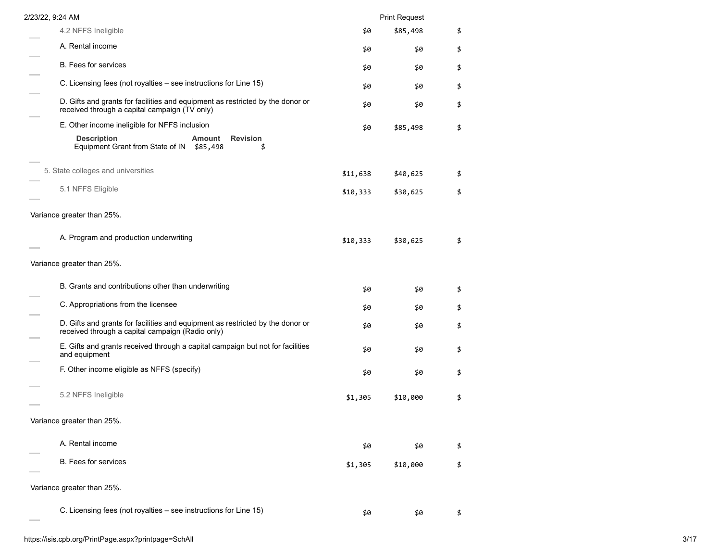| 2/23/22, 9:24 AM                                                                                                                   |          | <b>Print Request</b> |    |
|------------------------------------------------------------------------------------------------------------------------------------|----------|----------------------|----|
| 4.2 NFFS Ineligible                                                                                                                | \$0      | \$85,498             | \$ |
| A. Rental income                                                                                                                   | \$0      | \$0                  | \$ |
| <b>B.</b> Fees for services                                                                                                        | \$0      | \$0                  | \$ |
| C. Licensing fees (not royalties – see instructions for Line 15)                                                                   | \$0      | \$0                  | \$ |
| D. Gifts and grants for facilities and equipment as restricted by the donor or<br>received through a capital campaign (TV only)    | \$0      | \$0                  | \$ |
| E. Other income ineligible for NFFS inclusion                                                                                      | \$0      | \$85,498             | \$ |
| <b>Description</b><br><b>Revision</b><br><b>Amount</b><br>Equipment Grant from State of IN \$85,498<br>\$                          |          |                      |    |
| 5. State colleges and universities                                                                                                 | \$11,638 | \$40,625             | \$ |
| 5.1 NFFS Eligible                                                                                                                  | \$10,333 | \$30,625             | \$ |
| Variance greater than 25%.                                                                                                         |          |                      |    |
| A. Program and production underwriting                                                                                             | \$10,333 | \$30,625             | \$ |
| Variance greater than 25%.                                                                                                         |          |                      |    |
| B. Grants and contributions other than underwriting                                                                                | \$0      | \$0                  | \$ |
| C. Appropriations from the licensee                                                                                                | \$0      | \$0                  | \$ |
| D. Gifts and grants for facilities and equipment as restricted by the donor or<br>received through a capital campaign (Radio only) | \$0      | \$0                  | \$ |
| E. Gifts and grants received through a capital campaign but not for facilities<br>and equipment                                    | \$0      | \$0                  | \$ |
| F. Other income eligible as NFFS (specify)                                                                                         | \$0      | \$0                  | \$ |
| 5.2 NFFS Ineligible                                                                                                                | \$1,305  | \$10,000             | \$ |
| Variance greater than 25%.                                                                                                         |          |                      |    |
| A. Rental income                                                                                                                   | \$0      | \$0                  | \$ |
| B. Fees for services                                                                                                               | \$1,305  | \$10,000             | \$ |
| Variance greater than 25%.                                                                                                         |          |                      |    |
| C. Licensing fees (not royalties - see instructions for Line 15)                                                                   | \$0      | \$0                  | \$ |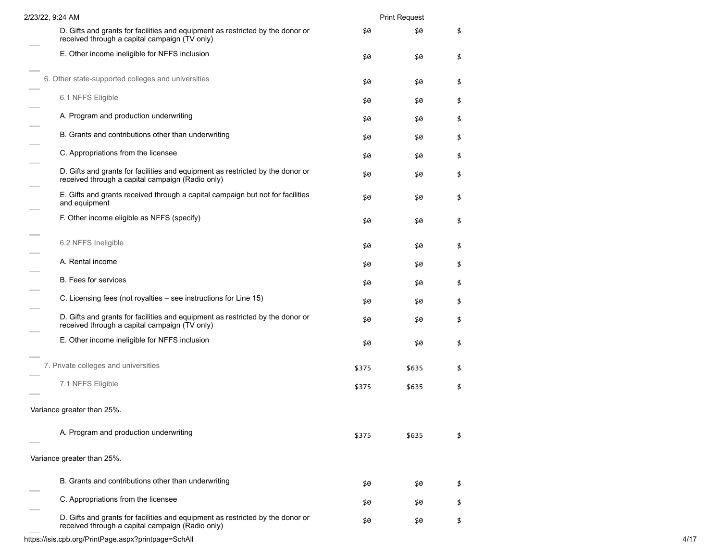| 2/23/22, 9:24 AM                                                                                                                   |       | <b>Print Request</b> |    |
|------------------------------------------------------------------------------------------------------------------------------------|-------|----------------------|----|
| D. Gifts and grants for facilities and equipment as restricted by the donor or<br>received through a capital campaign (TV only)    | \$0   | \$0                  | \$ |
| E. Other income ineligible for NFFS inclusion                                                                                      | \$0   | \$0                  | \$ |
| 6. Other state-supported colleges and universities                                                                                 | \$0   | \$0                  | \$ |
| 6.1 NFFS Eligible                                                                                                                  | \$0   | \$0                  | \$ |
| A. Program and production underwriting                                                                                             | \$0   | \$0                  | \$ |
| B. Grants and contributions other than underwriting                                                                                | \$0   | \$0                  | \$ |
| C. Appropriations from the licensee                                                                                                | \$0   | \$0                  | \$ |
| D. Gifts and grants for facilities and equipment as restricted by the donor or<br>received through a capital campaign (Radio only) | \$0   | \$0                  | \$ |
| E. Gifts and grants received through a capital campaign but not for facilities<br>and equipment                                    | \$0   | \$0                  | \$ |
| F. Other income eligible as NFFS (specify)                                                                                         | \$0   | \$0                  | \$ |
| 6.2 NFFS Ineligible                                                                                                                | \$0   | \$0                  | \$ |
| A. Rental income                                                                                                                   | \$0   | \$0                  | \$ |
| <b>B.</b> Fees for services                                                                                                        | \$0   | \$0                  | \$ |
| C. Licensing fees (not royalties – see instructions for Line 15)                                                                   | \$0   | \$0                  | \$ |
| D. Gifts and grants for facilities and equipment as restricted by the donor or<br>received through a capital campaign (TV only)    | \$0   | \$0                  | \$ |
| E. Other income ineligible for NFFS inclusion                                                                                      | \$0   | \$0                  | \$ |
| 7. Private colleges and universities                                                                                               | \$375 | \$635                | \$ |
| 7.1 NFFS Eligible                                                                                                                  | \$375 | \$635                | \$ |
| Variance greater than 25%.                                                                                                         |       |                      |    |
| A. Program and production underwriting                                                                                             | \$375 | \$635                | \$ |
| Variance greater than 25%.                                                                                                         |       |                      |    |
| B. Grants and contributions other than underwriting                                                                                | \$0   | \$0                  | \$ |
| C. Appropriations from the licensee                                                                                                | \$0   | \$0                  | \$ |
| D. Gifts and grants for facilities and equipment as restricted by the donor or<br>received through a capital campaign (Radio only) | \$0   | \$0                  | \$ |

https://isis.cpb.org/PrintPage.aspx?printpage=SchAll 4/17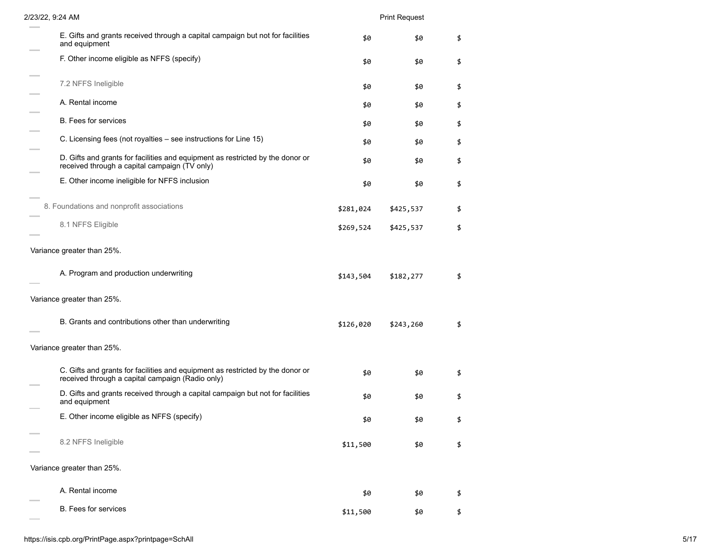| 2/23/22, 9:24 AM                                                                                                                   |           | <b>Print Request</b> |    |
|------------------------------------------------------------------------------------------------------------------------------------|-----------|----------------------|----|
| E. Gifts and grants received through a capital campaign but not for facilities<br>and equipment                                    | \$0       | \$0                  | \$ |
| F. Other income eligible as NFFS (specify)                                                                                         | \$0       | \$0                  | \$ |
| 7.2 NFFS Ineligible                                                                                                                | \$0       | \$0                  | \$ |
| A. Rental income                                                                                                                   | \$0       | \$0                  | \$ |
| <b>B.</b> Fees for services                                                                                                        | \$0       | \$0                  | \$ |
| C. Licensing fees (not royalties – see instructions for Line 15)                                                                   | \$0       | \$0                  | \$ |
| D. Gifts and grants for facilities and equipment as restricted by the donor or<br>received through a capital campaign (TV only)    | \$0       | \$0                  | \$ |
| E. Other income ineligible for NFFS inclusion                                                                                      | \$0       | \$0                  | \$ |
| 8. Foundations and nonprofit associations                                                                                          | \$281,024 | \$425,537            | \$ |
| 8.1 NFFS Eligible                                                                                                                  | \$269,524 | \$425,537            | \$ |
| Variance greater than 25%.                                                                                                         |           |                      |    |
| A. Program and production underwriting                                                                                             | \$143,504 | \$182,277            | \$ |
| Variance greater than 25%.                                                                                                         |           |                      |    |
| B. Grants and contributions other than underwriting                                                                                | \$126,020 | \$243,260            | \$ |
| Variance greater than 25%.                                                                                                         |           |                      |    |
| C. Gifts and grants for facilities and equipment as restricted by the donor or<br>received through a capital campaign (Radio only) | \$0       | \$0                  | \$ |
| D. Gifts and grants received through a capital campaign but not for facilities<br>and equipment                                    | \$0       | \$0                  | \$ |
| E. Other income eligible as NFFS (specify)                                                                                         | \$0       | \$0                  |    |
| 8.2 NFFS Ineligible                                                                                                                | \$11,500  | \$0                  | \$ |
| Variance greater than 25%.                                                                                                         |           |                      |    |
| A. Rental income                                                                                                                   | \$0       | \$0                  | \$ |
| B. Fees for services                                                                                                               | \$11,500  | \$0                  | \$ |

 $\sim$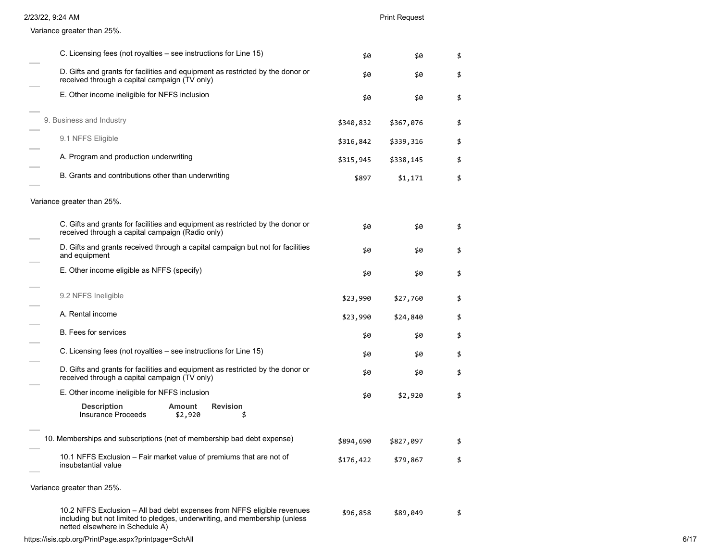| 2/23/22, 9:24 AM                                                                                                                                                                         |           | <b>Print Request</b> |    |
|------------------------------------------------------------------------------------------------------------------------------------------------------------------------------------------|-----------|----------------------|----|
| Variance greater than 25%.                                                                                                                                                               |           |                      |    |
| C. Licensing fees (not royalties – see instructions for Line 15)                                                                                                                         | \$0       | \$0                  | \$ |
| D. Gifts and grants for facilities and equipment as restricted by the donor or<br>received through a capital campaign (TV only)                                                          | \$0       | \$0                  | \$ |
| E. Other income ineligible for NFFS inclusion                                                                                                                                            | \$0       | \$0                  | \$ |
| 9. Business and Industry                                                                                                                                                                 | \$340,832 | \$367,076            | \$ |
| 9.1 NFFS Eligible                                                                                                                                                                        | \$316,842 | \$339,316            | \$ |
| A. Program and production underwriting                                                                                                                                                   | \$315,945 | \$338,145            | \$ |
| B. Grants and contributions other than underwriting                                                                                                                                      | \$897     | \$1,171              | \$ |
| Variance greater than 25%.                                                                                                                                                               |           |                      |    |
| C. Gifts and grants for facilities and equipment as restricted by the donor or<br>received through a capital campaign (Radio only)                                                       | \$0       | \$0                  | \$ |
| D. Gifts and grants received through a capital campaign but not for facilities<br>and equipment                                                                                          | \$0       | \$0                  | \$ |
| E. Other income eligible as NFFS (specify)                                                                                                                                               | \$0       | \$0                  | \$ |
| 9.2 NFFS Ineligible                                                                                                                                                                      | \$23,990  | \$27,760             | \$ |
| A. Rental income                                                                                                                                                                         | \$23,990  | \$24,840             | \$ |
| <b>B.</b> Fees for services                                                                                                                                                              | \$0       | \$0                  | \$ |
| C. Licensing fees (not royalties – see instructions for Line 15)                                                                                                                         | \$0       | \$0                  | \$ |
| D. Gifts and grants for facilities and equipment as restricted by the donor or<br>received through a capital campaign (TV only)                                                          | \$0       | \$0                  | \$ |
| E. Other income ineligible for NFFS inclusion                                                                                                                                            | \$0       | \$2,920              | \$ |
| <b>Description</b><br><b>Amount</b><br><b>Revision</b><br>Insurance Proceeds<br>\$2,920<br>\$                                                                                            |           |                      |    |
| 10. Memberships and subscriptions (net of membership bad debt expense)                                                                                                                   | \$894,690 | \$827,097            | \$ |
| 10.1 NFFS Exclusion - Fair market value of premiums that are not of<br>insubstantial value                                                                                               | \$176,422 | \$79,867             | \$ |
| Variance greater than 25%.                                                                                                                                                               |           |                      |    |
| 10.2 NFFS Exclusion - All bad debt expenses from NFFS eligible revenues<br>including but not limited to pledges, underwriting, and membership (unless<br>netted elsewhere in Schedule A) | \$96,858  | \$89,049             | \$ |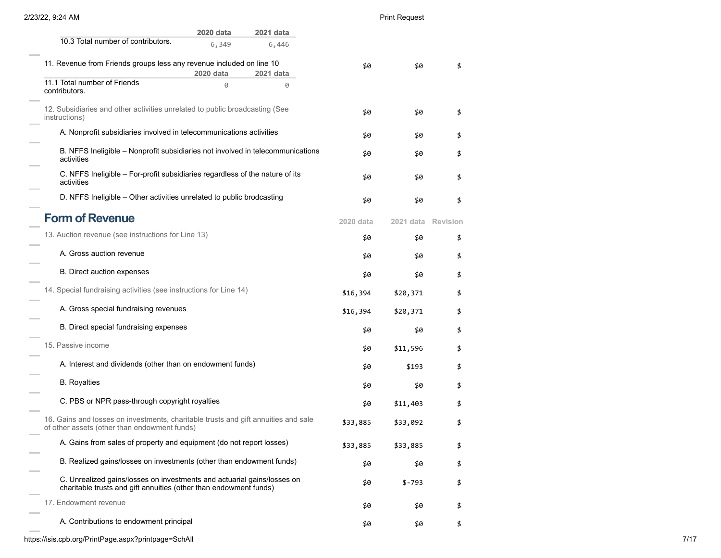### Print Request

|                                                                                                                                              | 2020 data | <b>2021 data</b> |           |                    |    |
|----------------------------------------------------------------------------------------------------------------------------------------------|-----------|------------------|-----------|--------------------|----|
| 10.3 Total number of contributors.                                                                                                           | 6,349     | 6,446            |           |                    |    |
| 11. Revenue from Friends groups less any revenue included on line 10                                                                         |           |                  | \$0       | \$0                | \$ |
|                                                                                                                                              | 2020 data | 2021 data        |           |                    |    |
| 11.1 Total number of Friends<br>contributors.                                                                                                | 0         | 0                |           |                    |    |
| 12. Subsidiaries and other activities unrelated to public broadcasting (See<br>instructions)                                                 |           |                  | \$0       | \$0                | \$ |
| A. Nonprofit subsidiaries involved in telecommunications activities                                                                          |           |                  | \$0       | \$0                |    |
| B. NFFS Ineligible - Nonprofit subsidiaries not involved in telecommunications<br>activities                                                 |           |                  | \$0       | \$0                |    |
| C. NFFS Ineligible - For-profit subsidiaries regardless of the nature of its<br>activities                                                   |           |                  | \$0       | \$0                |    |
| D. NFFS Ineligible - Other activities unrelated to public brodcasting                                                                        |           |                  | \$0       | \$0                | \$ |
| <b>Form of Revenue</b>                                                                                                                       |           |                  | 2020 data | 2021 data Revision |    |
| 13. Auction revenue (see instructions for Line 13)                                                                                           |           |                  | \$0       | \$0                | \$ |
| A. Gross auction revenue                                                                                                                     |           |                  | \$0       | \$0                | \$ |
| B. Direct auction expenses                                                                                                                   |           |                  | \$0       | \$0                | \$ |
| 14. Special fundraising activities (see instructions for Line 14)                                                                            |           |                  | \$16,394  | \$20,371           | \$ |
| A. Gross special fundraising revenues                                                                                                        |           |                  | \$16,394  | \$20,371           | \$ |
| B. Direct special fundraising expenses                                                                                                       |           |                  | \$0       | \$0                | \$ |
| 15. Passive income                                                                                                                           |           |                  | \$0       | \$11,596           | \$ |
| A. Interest and dividends (other than on endowment funds)                                                                                    |           |                  | \$0       | \$193              | \$ |
| <b>B.</b> Royalties                                                                                                                          |           |                  | \$0       | \$0                | \$ |
| C. PBS or NPR pass-through copyright royalties                                                                                               |           |                  | \$0       | \$11,403           |    |
| 16. Gains and losses on investments, charitable trusts and gift annuities and sale<br>of other assets (other than endowment funds)           |           |                  | \$33,885  | \$33,092           | \$ |
| A. Gains from sales of property and equipment (do not report losses)                                                                         |           |                  | \$33,885  | \$33,885           | \$ |
| B. Realized gains/losses on investments (other than endowment funds)                                                                         |           |                  | \$0       | \$0                | \$ |
| C. Unrealized gains/losses on investments and actuarial gains/losses on<br>charitable trusts and gift annuities (other than endowment funds) |           |                  | \$0       | $$ -793$           | \$ |
| 17. Endowment revenue                                                                                                                        |           |                  | \$0       | \$0                | \$ |
| A. Contributions to endowment principal                                                                                                      |           |                  | \$0       | \$0                | \$ |
|                                                                                                                                              |           |                  |           |                    |    |

https://isis.cpb.org/PrintPage.aspx?printpage=SchAll 7/17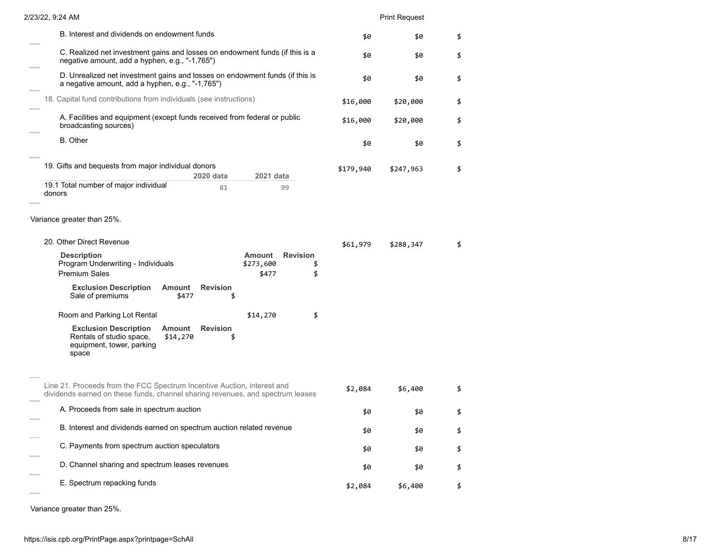| 2/23/22, 9:24 AM                                                                                                                                          |           | <b>Print Request</b> |    |
|-----------------------------------------------------------------------------------------------------------------------------------------------------------|-----------|----------------------|----|
| B. Interest and dividends on endowment funds                                                                                                              | \$0       | \$0                  | \$ |
| C. Realized net investment gains and losses on endowment funds (if this is a<br>negative amount, add a hyphen, e.g., "-1,765")                            | \$0       | \$0                  | \$ |
| D. Unrealized net investment gains and losses on endowment funds (if this is<br>a negative amount, add a hyphen, e.g., "-1,765")                          | \$0       | \$0                  | \$ |
| 18. Capital fund contributions from individuals (see instructions)                                                                                        | \$16,000  | \$20,000             | \$ |
| A. Facilities and equipment (except funds received from federal or public<br>broadcasting sources)                                                        | \$16,000  | \$20,000             | \$ |
| B. Other                                                                                                                                                  | \$0       | \$0                  | \$ |
| 19. Gifts and bequests from major individual donors<br>2020 data<br>2021 data                                                                             | \$179,940 | \$247,963            | \$ |
| 19.1 Total number of major individual<br>81<br>99<br>donors                                                                                               |           |                      |    |
| Variance greater than 25%.                                                                                                                                |           |                      |    |
| 20. Other Direct Revenue                                                                                                                                  | \$61,979  | \$288,347            | \$ |
| <b>Revision</b><br><b>Description</b><br>Amount<br>Program Underwriting - Individuals<br>\$273,600<br>\$<br><b>Premium Sales</b><br>\$477<br>\$           |           |                      |    |
| <b>Exclusion Description</b><br>Amount<br><b>Revision</b><br>Sale of premiums<br>\$477<br>\$                                                              |           |                      |    |
| \$<br>Room and Parking Lot Rental<br>\$14,270                                                                                                             |           |                      |    |
| <b>Exclusion Description</b><br><b>Revision</b><br>Amount<br>Rentals of studio space,<br>\$14,270<br>\$<br>equipment, tower, parking<br>space             |           |                      |    |
| Line 21. Proceeds from the FCC Spectrum Incentive Auction, interest and<br>dividends earned on these funds, channel sharing revenues, and spectrum leases | \$2,084   | \$6,400              | \$ |
| A. Proceeds from sale in spectrum auction                                                                                                                 | \$0       | \$0                  | \$ |
| B. Interest and dividends earned on spectrum auction related revenue                                                                                      | \$0       | \$0                  | \$ |
| C. Payments from spectrum auction speculators                                                                                                             | \$0       | \$0                  | \$ |
| D. Channel sharing and spectrum leases revenues                                                                                                           | \$0       | \$0                  | \$ |
| E. Spectrum repacking funds                                                                                                                               | \$2,084   | \$6,400              | \$ |
|                                                                                                                                                           |           |                      |    |

Variance greater than 25%.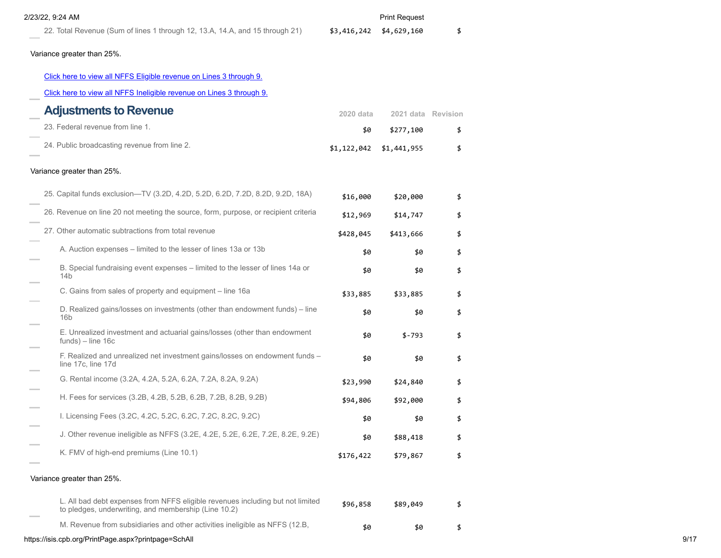### Print Request

22. Total Revenue (Sum of lines 1 through 12, 13.A, 14.A, and 15 through 21)  $$3,416,242$  \$4,629,160 \$ Variance greater than 25%. [Click here to view all NFFS Eligible revenue on Lines 3 through 9.](https://isis.cpb.org/ScheduleASupplement.aspx?report=1)

### [Click here to view all NFFS Ineligible revenue on Lines 3 through 9.](https://isis.cpb.org/ScheduleASupplement.aspx?report=2)

| <b>Adjustments to Revenue</b>                                                                                                          | 2020 data   | 2021 data Revision |    |
|----------------------------------------------------------------------------------------------------------------------------------------|-------------|--------------------|----|
| 23. Federal revenue from line 1.                                                                                                       | \$0         | \$277,100          | \$ |
| 24. Public broadcasting revenue from line 2.                                                                                           | \$1,122,042 | \$1,441,955        | \$ |
| Variance greater than 25%.                                                                                                             |             |                    |    |
| 25. Capital funds exclusion—TV (3.2D, 4.2D, 5.2D, 6.2D, 7.2D, 8.2D, 9.2D, 18A)                                                         | \$16,000    | \$20,000           | \$ |
| 26. Revenue on line 20 not meeting the source, form, purpose, or recipient criteria                                                    | \$12,969    | \$14,747           | \$ |
| 27. Other automatic subtractions from total revenue                                                                                    | \$428,045   | \$413,666          | \$ |
| A. Auction expenses – limited to the lesser of lines 13a or 13b                                                                        | \$0         | \$0                | \$ |
| B. Special fundraising event expenses – limited to the lesser of lines 14a or<br>14 <sub>b</sub>                                       | \$0         | \$0                | \$ |
| C. Gains from sales of property and equipment – line 16a                                                                               | \$33,885    | \$33,885           | \$ |
| D. Realized gains/losses on investments (other than endowment funds) - line<br>16 <sub>b</sub>                                         | \$0         | \$0                | \$ |
| E. Unrealized investment and actuarial gains/losses (other than endowment<br>$funds$ ) – line 16c                                      | \$0         | \$-793             | \$ |
| F. Realized and unrealized net investment gains/losses on endowment funds -<br>line 17c, line 17d                                      | \$0         | \$0                | \$ |
| G. Rental income (3.2A, 4.2A, 5.2A, 6.2A, 7.2A, 8.2A, 9.2A)                                                                            | \$23,990    | \$24,840           | \$ |
| H. Fees for services (3.2B, 4.2B, 5.2B, 6.2B, 7.2B, 8.2B, 9.2B)                                                                        | \$94,806    | \$92,000           | \$ |
| I. Licensing Fees (3.2C, 4.2C, 5.2C, 6.2C, 7.2C, 8.2C, 9.2C)                                                                           | \$0         | \$0                | \$ |
| J. Other revenue ineligible as NFFS (3.2E, 4.2E, 5.2E, 6.2E, 7.2E, 8.2E, 9.2E)                                                         | \$0         | \$88,418           | \$ |
| K. FMV of high-end premiums (Line 10.1)                                                                                                | \$176,422   | \$79,867           | \$ |
| Variance greater than 25%.                                                                                                             |             |                    |    |
| L. All bad debt expenses from NFFS eligible revenues including but not limited<br>to pledges, underwriting, and membership (Line 10.2) | \$96,858    | \$89,049           | \$ |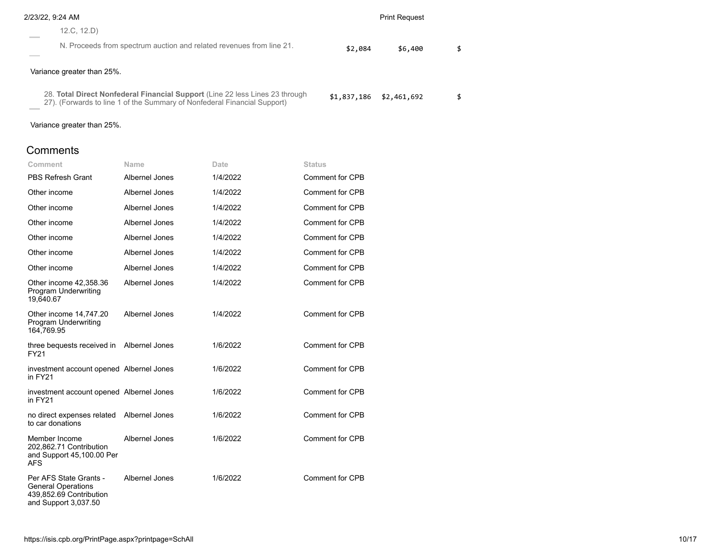| 2/23/22, 9:24 AM                                                                                                                                         | <b>Print Request</b> |             |    |
|----------------------------------------------------------------------------------------------------------------------------------------------------------|----------------------|-------------|----|
| 12.C. 12.D)                                                                                                                                              |                      |             |    |
| N. Proceeds from spectrum auction and related revenues from line 21.                                                                                     | \$2,084              | \$6,400     | \$ |
| Variance greater than 25%.                                                                                                                               |                      |             |    |
| 28. Total Direct Nonfederal Financial Support (Line 22 less Lines 23 through<br>27). (Forwards to line 1 of the Summary of Nonfederal Financial Support) | \$1,837,186          | \$2,461,692 | \$ |

Variance greater than 25%.

**Comments** 

| Comment                                                                                                | Name           | Date     | Status                 |
|--------------------------------------------------------------------------------------------------------|----------------|----------|------------------------|
| <b>PBS Refresh Grant</b>                                                                               | Albernel Jones | 1/4/2022 | Comment for CPB        |
| Other income                                                                                           | Albernel Jones | 1/4/2022 | <b>Comment for CPB</b> |
| Other income                                                                                           | Albernel Jones | 1/4/2022 | Comment for CPB        |
| Other income                                                                                           | Albernel Jones | 1/4/2022 | <b>Comment for CPB</b> |
| Other income                                                                                           | Albernel Jones | 1/4/2022 | <b>Comment for CPB</b> |
| Other income                                                                                           | Albernel Jones | 1/4/2022 | <b>Comment for CPB</b> |
| Other income                                                                                           | Albernel Jones | 1/4/2022 | <b>Comment for CPB</b> |
| Other income 42,358.36<br><b>Program Underwriting</b><br>19,640.67                                     | Albernel Jones | 1/4/2022 | Comment for CPB        |
| Other income 14,747.20<br><b>Program Underwriting</b><br>164,769.95                                    | Albernel Jones | 1/4/2022 | Comment for CPB        |
| three bequests received in<br>FY21                                                                     | Albernel Jones | 1/6/2022 | <b>Comment for CPB</b> |
| investment account opened Albernel Jones<br>in FY21                                                    |                | 1/6/2022 | <b>Comment for CPB</b> |
| investment account opened Albernel Jones<br>in FY21                                                    |                | 1/6/2022 | Comment for CPB        |
| no direct expenses related<br>to car donations                                                         | Albernel Jones | 1/6/2022 | <b>Comment for CPB</b> |
| Member Income<br>202,862.71 Contribution<br>and Support 45,100.00 Per<br><b>AFS</b>                    | Albernel Jones | 1/6/2022 | Comment for CPB        |
| Per AFS State Grants -<br><b>General Operations</b><br>439,852.69 Contribution<br>and Support 3,037.50 | Albernel Jones | 1/6/2022 | <b>Comment for CPB</b> |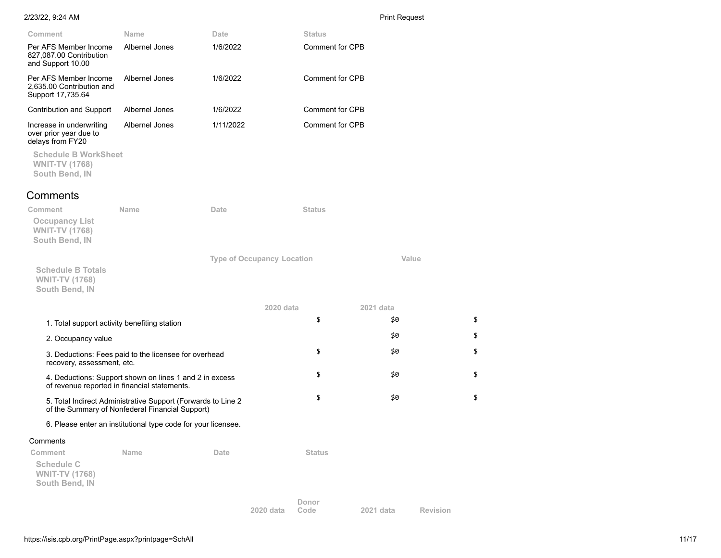**Code 2021 data Revision**

| Comment                                                                     | Name                                                                                                            | Date                              | <b>Status</b>          |           |    |
|-----------------------------------------------------------------------------|-----------------------------------------------------------------------------------------------------------------|-----------------------------------|------------------------|-----------|----|
| Per AFS Member Income<br>827,087.00 Contribution<br>and Support 10.00       | Albernel Jones                                                                                                  | 1/6/2022                          | Comment for CPB        |           |    |
| Per AFS Member Income<br>2,635.00 Contribution and<br>Support 17,735.64     | Albernel Jones                                                                                                  | 1/6/2022                          | Comment for CPB        |           |    |
| Contribution and Support                                                    | Albernel Jones                                                                                                  | 1/6/2022                          | <b>Comment for CPB</b> |           |    |
| Increase in underwriting<br>over prior year due to<br>delays from FY20      | Albernel Jones                                                                                                  | 1/11/2022                         | <b>Comment for CPB</b> |           |    |
| <b>Schedule B WorkSheet</b><br><b>WNIT-TV (1768)</b><br>South Bend, IN      |                                                                                                                 |                                   |                        |           |    |
| Comments                                                                    |                                                                                                                 |                                   |                        |           |    |
| Comment<br><b>Occupancy List</b><br><b>WNIT-TV (1768)</b><br>South Bend, IN | <b>Name</b>                                                                                                     | Date                              | <b>Status</b>          |           |    |
|                                                                             |                                                                                                                 | <b>Type of Occupancy Location</b> |                        | Value     |    |
| <b>Schedule B Totals</b><br><b>WNIT-TV (1768)</b><br>South Bend, IN         |                                                                                                                 |                                   |                        |           |    |
|                                                                             |                                                                                                                 |                                   | 2020 data              | 2021 data |    |
| 1. Total support activity benefiting station                                |                                                                                                                 |                                   | \$                     | \$0       | \$ |
| 2. Occupancy value                                                          |                                                                                                                 |                                   |                        | \$0       | \$ |
| recovery, assessment, etc.                                                  | 3. Deductions: Fees paid to the licensee for overhead                                                           |                                   | \$                     | \$0       | \$ |
|                                                                             | 4. Deductions: Support shown on lines 1 and 2 in excess<br>of revenue reported in financial statements.         |                                   | \$                     | \$0       | \$ |
|                                                                             | 5. Total Indirect Administrative Support (Forwards to Line 2<br>of the Summary of Nonfederal Financial Support) |                                   | \$                     | \$0       | \$ |
|                                                                             | 6. Please enter an institutional type code for your licensee.                                                   |                                   |                        |           |    |
| Comments                                                                    |                                                                                                                 |                                   |                        |           |    |
| Comment<br><b>Schedule C</b><br><b>WNIT-TV (1768)</b><br>South Bend, IN     | Name                                                                                                            | Date                              | <b>Status</b>          |           |    |
|                                                                             |                                                                                                                 |                                   | Donor                  |           |    |

**2020 data**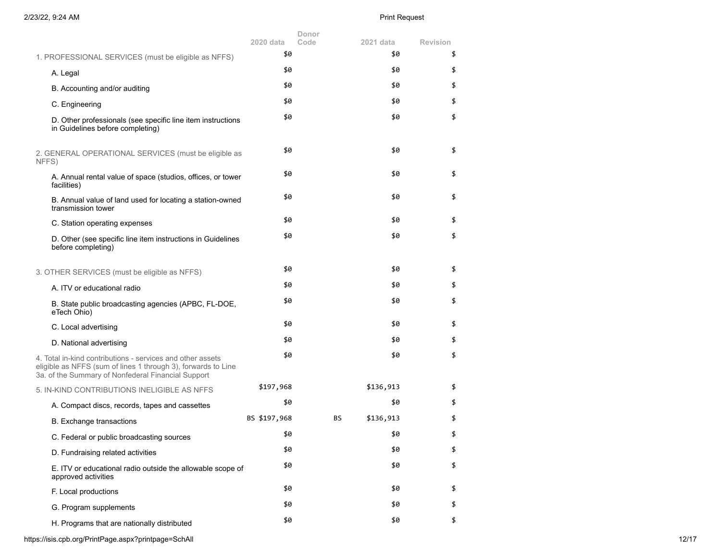|                                                                                                                                                                                   | 2020 data    | Donor<br>Code | 2021 data | Revision |
|-----------------------------------------------------------------------------------------------------------------------------------------------------------------------------------|--------------|---------------|-----------|----------|
| 1. PROFESSIONAL SERVICES (must be eligible as NFFS)                                                                                                                               | \$0          |               | \$0       | \$       |
| A. Legal                                                                                                                                                                          | \$0          |               | \$0       | \$       |
| B. Accounting and/or auditing                                                                                                                                                     | \$0          |               | \$0       | \$       |
| C. Engineering                                                                                                                                                                    | \$0          |               | \$0       | \$       |
| D. Other professionals (see specific line item instructions<br>in Guidelines before completing)                                                                                   | \$0          |               | \$0       | \$       |
| 2. GENERAL OPERATIONAL SERVICES (must be eligible as<br>NFFS)                                                                                                                     | \$0          |               | \$0       | \$       |
| A. Annual rental value of space (studios, offices, or tower<br>facilities)                                                                                                        | \$0          |               | \$0       | \$       |
| B. Annual value of land used for locating a station-owned<br>transmission tower                                                                                                   | \$0          |               | \$0       | \$       |
| C. Station operating expenses                                                                                                                                                     | \$0          |               | \$0       | \$       |
| D. Other (see specific line item instructions in Guidelines<br>before completing)                                                                                                 | \$0          |               | \$0       | \$       |
| 3. OTHER SERVICES (must be eligible as NFFS)                                                                                                                                      | \$0          |               | \$0       | \$       |
| A. ITV or educational radio                                                                                                                                                       | \$0          |               | \$0       | \$       |
| B. State public broadcasting agencies (APBC, FL-DOE,<br>eTech Ohio)                                                                                                               | \$0          |               | \$0       | \$       |
| C. Local advertising                                                                                                                                                              | \$0          |               | \$0       | \$       |
| D. National advertising                                                                                                                                                           | \$0          |               | \$0       | \$       |
| 4. Total in-kind contributions - services and other assets<br>eligible as NFFS (sum of lines 1 through 3), forwards to Line<br>3a. of the Summary of Nonfederal Financial Support | \$0          |               | \$0       | \$       |
| 5. IN-KIND CONTRIBUTIONS INELIGIBLE AS NFFS                                                                                                                                       | \$197,968    |               | \$136,913 | \$       |
| A. Compact discs, records, tapes and cassettes                                                                                                                                    | \$0          |               | \$0       | \$       |
| <b>B.</b> Exchange transactions                                                                                                                                                   | BS \$197,968 | BS            | \$136,913 | \$       |
| C. Federal or public broadcasting sources                                                                                                                                         | \$0          |               | \$0       | \$       |
| D. Fundraising related activities                                                                                                                                                 | \$0          |               | \$0       | \$       |
| E. ITV or educational radio outside the allowable scope of<br>approved activities                                                                                                 | \$0          |               | \$0       | \$       |
| F. Local productions                                                                                                                                                              | \$0          |               | \$0       | \$       |
| G. Program supplements                                                                                                                                                            | \$0          |               | \$0       | \$       |
| H. Programs that are nationally distributed                                                                                                                                       | \$0          |               | \$0       | \$       |

https://isis.cpb.org/PrintPage.aspx?printpage=SchAll 12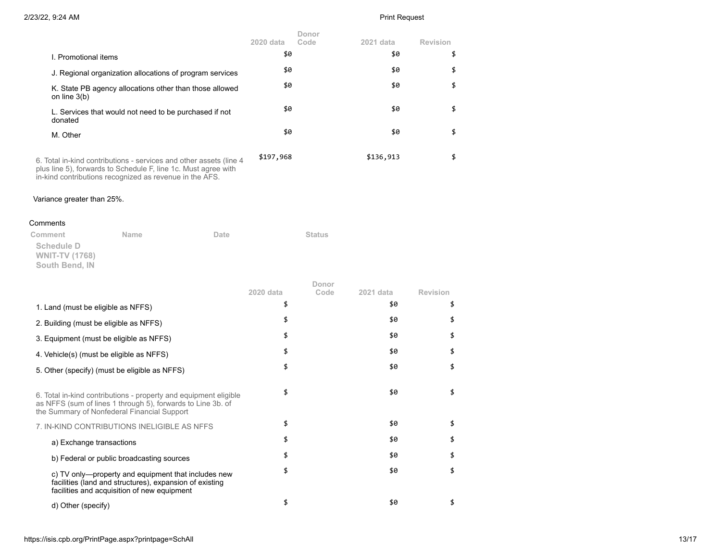|                                                                                                                                                                                                  | $2020$ data | Donor<br>Code | 2021 data | Revision |
|--------------------------------------------------------------------------------------------------------------------------------------------------------------------------------------------------|-------------|---------------|-----------|----------|
| I. Promotional items                                                                                                                                                                             | \$0         |               | \$0       | \$       |
| J. Regional organization allocations of program services                                                                                                                                         | \$0         |               | \$0       | \$       |
| K. State PB agency allocations other than those allowed<br>on line $3(b)$                                                                                                                        | \$0         |               | \$0       | \$       |
| L. Services that would not need to be purchased if not<br>donated                                                                                                                                | \$0         |               | \$0       | \$       |
| M. Other                                                                                                                                                                                         | \$0         |               | \$0       | \$       |
| 6. Total in-kind contributions - services and other assets (line 4)<br>plus line 5), forwards to Schedule F, line 1c. Must agree with<br>in-kind contributions recognized as revenue in the AFS. | \$197,968   |               | \$136,913 | \$       |

### Variance greater than 25%.

### Comments

| Comment               | <b>Name</b> | Date | <b>Status</b> |
|-----------------------|-------------|------|---------------|
| Schedule D            |             |      |               |
| <b>WNIT-TV (1768)</b> |             |      |               |
| South Bend, IN        |             |      |               |

|                                                                                                                                                                                | 2020 data | Donor<br>Code | 2021 data | <b>Revision</b> |
|--------------------------------------------------------------------------------------------------------------------------------------------------------------------------------|-----------|---------------|-----------|-----------------|
| 1. Land (must be eligible as NFFS)                                                                                                                                             |           |               | \$0       | \$              |
| 2. Building (must be eligible as NFFS)                                                                                                                                         |           |               | \$0       |                 |
| 3. Equipment (must be eligible as NFFS)                                                                                                                                        |           |               | \$0       | \$              |
| 4. Vehicle(s) (must be eligible as NFFS)                                                                                                                                       |           |               | \$0       | \$              |
| 5. Other (specify) (must be eligible as NFFS)                                                                                                                                  |           |               | \$0       | \$              |
| 6. Total in-kind contributions - property and equipment eligible<br>as NFFS (sum of lines 1 through 5), forwards to Line 3b. of<br>the Summary of Nonfederal Financial Support | \$        |               | \$0       | \$              |
| 7. IN-KIND CONTRIBUTIONS INELIGIBLE AS NFFS                                                                                                                                    |           |               | \$0       | \$              |
| a) Exchange transactions                                                                                                                                                       |           |               | \$0       | \$              |
| b) Federal or public broadcasting sources                                                                                                                                      |           |               | \$0       | \$              |
| c) TV only—property and equipment that includes new<br>facilities (land and structures), expansion of existing<br>facilities and acquisition of new equipment                  |           |               | \$0       | \$              |
| d) Other (specify)                                                                                                                                                             |           |               | \$0       |                 |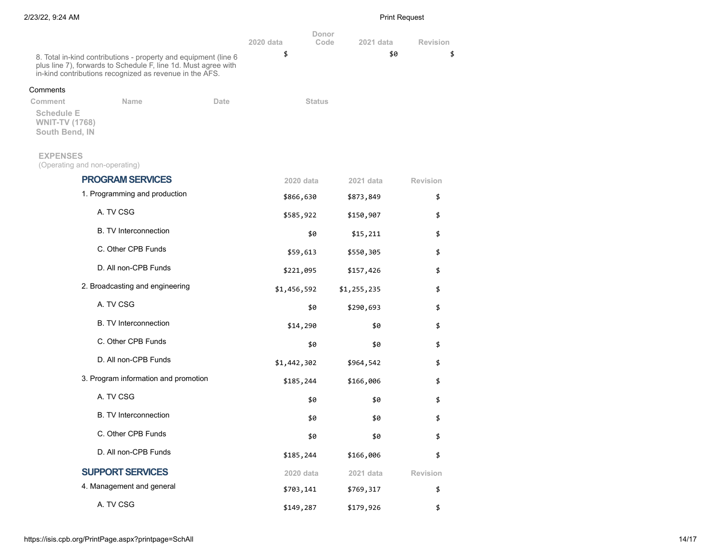|                                                              |                                                                                                                                                                                              |      | 2020 data   | Donor<br>Code | 2021 data   | <b>Revision</b> |
|--------------------------------------------------------------|----------------------------------------------------------------------------------------------------------------------------------------------------------------------------------------------|------|-------------|---------------|-------------|-----------------|
|                                                              | 8. Total in-kind contributions - property and equipment (line 6<br>plus line 7), forwards to Schedule F, line 1d. Must agree with<br>in-kind contributions recognized as revenue in the AFS. |      | \$          |               | \$0         | \$              |
| Comments                                                     |                                                                                                                                                                                              |      |             |               |             |                 |
| Comment                                                      | <b>Name</b>                                                                                                                                                                                  | Date |             | <b>Status</b> |             |                 |
| <b>Schedule E</b><br><b>WNIT-TV (1768)</b><br>South Bend, IN |                                                                                                                                                                                              |      |             |               |             |                 |
| <b>EXPENSES</b>                                              | (Operating and non-operating)                                                                                                                                                                |      |             |               |             |                 |
|                                                              | <b>PROGRAM SERVICES</b>                                                                                                                                                                      |      | 2020 data   |               | 2021 data   | <b>Revision</b> |
|                                                              | 1. Programming and production                                                                                                                                                                |      | \$866,630   |               | \$873,849   | \$              |
|                                                              | A. TV CSG                                                                                                                                                                                    |      | \$585,922   |               | \$150,907   | \$              |
|                                                              | <b>B.</b> TV Interconnection                                                                                                                                                                 |      |             | \$0           | \$15,211    | \$              |
|                                                              | C. Other CPB Funds                                                                                                                                                                           |      | \$59,613    |               | \$550,305   | \$              |
|                                                              | D. All non-CPB Funds                                                                                                                                                                         |      | \$221,095   |               | \$157,426   | \$              |
|                                                              | 2. Broadcasting and engineering                                                                                                                                                              |      | \$1,456,592 |               | \$1,255,235 | \$              |
|                                                              | A. TV CSG                                                                                                                                                                                    |      |             | \$0           | \$290,693   | \$              |
|                                                              | <b>B.</b> TV Interconnection                                                                                                                                                                 |      | \$14,290    |               | \$0         | \$              |
|                                                              | C. Other CPB Funds                                                                                                                                                                           |      |             | \$0           | \$0         | \$              |
|                                                              | D. All non-CPB Funds                                                                                                                                                                         |      | \$1,442,302 |               | \$964,542   | \$              |
|                                                              | 3. Program information and promotion                                                                                                                                                         |      | \$185,244   |               | \$166,006   | \$              |
|                                                              | A. TV CSG                                                                                                                                                                                    |      |             | \$0           | \$0         | \$              |
|                                                              | <b>B.</b> TV Interconnection                                                                                                                                                                 |      |             | \$0           | \$0         | \$              |
|                                                              | C. Other CPB Funds                                                                                                                                                                           |      |             | \$0           | \$0         | \$              |
|                                                              | D. All non-CPB Funds                                                                                                                                                                         |      | \$185,244   |               | \$166,006   | \$              |
|                                                              | <b>SUPPORT SERVICES</b>                                                                                                                                                                      |      | 2020 data   |               | 2021 data   | <b>Revision</b> |
|                                                              | 4. Management and general                                                                                                                                                                    |      | \$703,141   |               | \$769,317   | \$              |
|                                                              | A. TV CSG                                                                                                                                                                                    |      | \$149,287   |               | \$179,926   | \$              |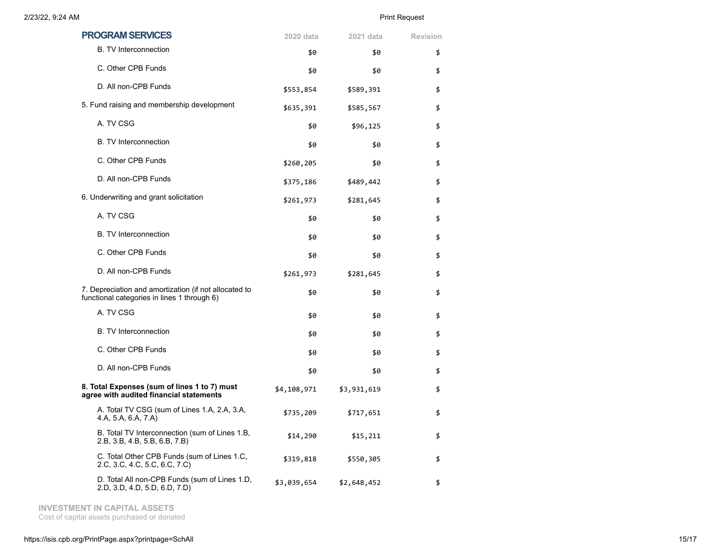| <b>PROGRAM SERVICES</b>                                                                              | 2020 data   | 2021 data   | <b>Revision</b> |
|------------------------------------------------------------------------------------------------------|-------------|-------------|-----------------|
| <b>B.</b> TV Interconnection                                                                         | \$0         | \$0         | \$              |
| C. Other CPB Funds                                                                                   | \$0         | \$0         | \$              |
| D. All non-CPB Funds                                                                                 | \$553,854   | \$589,391   | \$              |
| 5. Fund raising and membership development                                                           | \$635,391   | \$585,567   | \$              |
| A. TV CSG                                                                                            | \$0         | \$96,125    | \$              |
| <b>B.</b> TV Interconnection                                                                         | \$0         | \$0         | \$              |
| C. Other CPB Funds                                                                                   | \$260,205   | \$0         | \$              |
| D. All non-CPB Funds                                                                                 | \$375,186   | \$489,442   | \$              |
| 6. Underwriting and grant solicitation                                                               | \$261,973   | \$281,645   | \$              |
| A. TV CSG                                                                                            | \$0         | \$0         | \$              |
| <b>B.</b> TV Interconnection                                                                         | \$0         | \$0         | \$              |
| C. Other CPB Funds                                                                                   | \$0         | \$0         | \$              |
| D. All non-CPB Funds                                                                                 | \$261,973   | \$281,645   | \$              |
| 7. Depreciation and amortization (if not allocated to<br>functional categories in lines 1 through 6) | \$0         | \$0         | \$              |
| A. TV CSG                                                                                            | \$0         | \$0         | \$              |
| <b>B. TV Interconnection</b>                                                                         | \$0         | \$0         | \$              |
| C. Other CPB Funds                                                                                   | \$0         | \$0         | \$              |
| D. All non-CPB Funds                                                                                 | \$0         | \$0         | \$              |
| 8. Total Expenses (sum of lines 1 to 7) must<br>agree with audited financial statements              | \$4,108,971 | \$3,931,619 | \$              |
| A. Total TV CSG (sum of Lines 1.A, 2.A, 3.A,<br>4.A, 5.A, 6.A, 7.A)                                  | \$735,209   | \$717,651   | \$              |
| B. Total TV Interconnection (sum of Lines 1.B,<br>2.B, 3.B, 4.B, 5.B, 6.B, 7.B)                      | \$14,290    | \$15,211    | \$              |
| C. Total Other CPB Funds (sum of Lines 1.C,<br>2.C, 3.C, 4.C, 5.C, 6.C, 7.C)                         | \$319,818   | \$550,305   | \$              |
| D. Total All non-CPB Funds (sum of Lines 1.D,<br>2.D, 3.D, 4.D, 5.D, 6.D, 7.D)                       | \$3,039,654 | \$2,648,452 | \$              |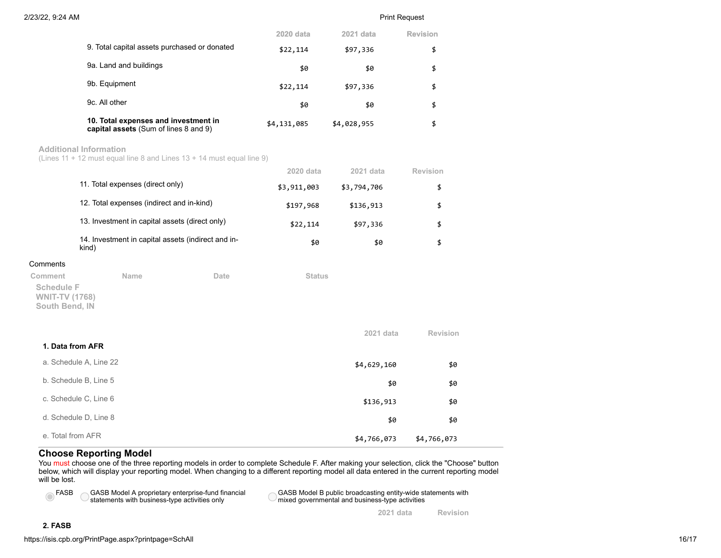|                                                                               | <b>2020 data</b> | 2021 data   | <b>Revision</b> |
|-------------------------------------------------------------------------------|------------------|-------------|-----------------|
| 9. Total capital assets purchased or donated                                  | \$22,114         | \$97,336    | \$              |
| 9a. Land and buildings                                                        | \$0              | \$0         | \$              |
| 9b. Equipment                                                                 | \$22,114         | \$97,336    | \$              |
| 9c. All other                                                                 | \$0              | \$0         | \$              |
| 10. Total expenses and investment in<br>capital assets (Sum of lines 8 and 9) | \$4,131,085      | \$4,028,955 | \$              |

### **Additional Information**

(Lines 11 + 12 must equal line 8 and Lines 13 + 14 must equal line 9)

|                                                              |                                                             |      | 2020 data     | 2021 data   | Revision        |
|--------------------------------------------------------------|-------------------------------------------------------------|------|---------------|-------------|-----------------|
|                                                              | 11. Total expenses (direct only)                            |      | \$3,911,003   | \$3,794,706 | \$              |
|                                                              | 12. Total expenses (indirect and in-kind)                   |      | \$197,968     | \$136,913   | \$              |
|                                                              | 13. Investment in capital assets (direct only)              |      | \$22,114      | \$97,336    | \$              |
|                                                              | 14. Investment in capital assets (indirect and in-<br>kind) |      | \$0           | \$0         | \$              |
| Comments                                                     |                                                             |      |               |             |                 |
| Comment                                                      | Name                                                        | Date | <b>Status</b> |             |                 |
| <b>Schedule F</b><br><b>WNIT-TV (1768)</b><br>South Bend, IN |                                                             |      |               |             |                 |
|                                                              |                                                             |      |               | 2021 data   | <b>Revision</b> |
| 1. Data from AFR                                             |                                                             |      |               |             |                 |
|                                                              | a. Schedule A, Line 22                                      |      |               | \$4,629,160 | \$0             |
|                                                              | b. Schedule B, Line 5                                       |      |               | \$0         | \$0             |
|                                                              | c. Schedule C, Line 6                                       |      |               | \$136,913   | \$0             |
|                                                              | d. Schedule D, Line 8                                       |      |               | \$0         | \$0             |
|                                                              |                                                             |      |               |             |                 |

# e. Total from AFR \$4,766,073 \$4,766,073

**Choose Reporting Model** You must choose one of the three reporting models in order to complete Schedule F. After making your selection, click the "Choose" button below, which will display your reporting model. When changing to a different reporting model all data entered in the current reporting model will be lost.

 $\bigcirc$ 

 $FASB \frown GASB$  Model A proprietary enterprise-fund financial  $\ell$  statements with business-type activities only

GASB Model B public broadcasting entity-wide statements with mixed governmental and business-type activities

**2021 data Revision**